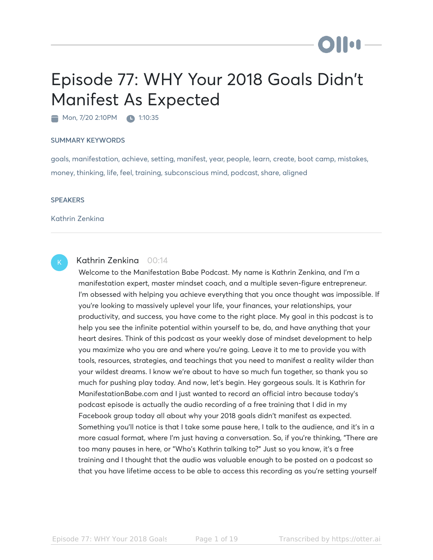## Episode 77: WHY Your 2018 Goals Didn't Manifest As Expected

Mon, 7/20 2:10PM 1:10:35

## SUMMARY KEYWORDS

goals, manifestation, achieve, setting, manifest, year, people, learn, create, boot camp, mistakes, money, thinking, life, feel, training, subconscious mind, podcast, share, aligned

## **SPEAKERS**

Kathrin Zenkina



## Kathrin Zenkina 00:14

Welcome to the Manifestation Babe Podcast. My name is Kathrin Zenkina, and I'm a manifestation expert, master mindset coach, and a multiple seven-figure entrepreneur. I'm obsessed with helping you achieve everything that you once thought was impossible. If you're looking to massively uplevel your life, your finances, your relationships, your productivity, and success, you have come to the right place. My goal in this podcast is to help you see the infinite potential within yourself to be, do, and have anything that your heart desires. Think of this podcast as your weekly dose of mindset development to help you maximize who you are and where you're going. Leave it to me to provide you with tools, resources, strategies, and teachings that you need to manifest a reality wilder than your wildest dreams. I know we're about to have so much fun together, so thank you so much for pushing play today. And now, let's begin. Hey gorgeous souls. It is Kathrin for ManifestationBabe.com and I just wanted to record an official intro because today's podcast episode is actually the audio recording of a free training that I did in my Facebook group today all about why your 2018 goals didn't manifest as expected. Something you'll notice is that I take some pause here, I talk to the audience, and it's in a more casual format, where I'm just having a conversation. So, if you're thinking, "There are too many pauses in here, or "Who's Kathrin talking to?" Just so you know, it's a free training and I thought that the audio was valuable enough to be posted on a podcast so that you have lifetime access to be able to access this recording as you're setting yourself

**Ollu**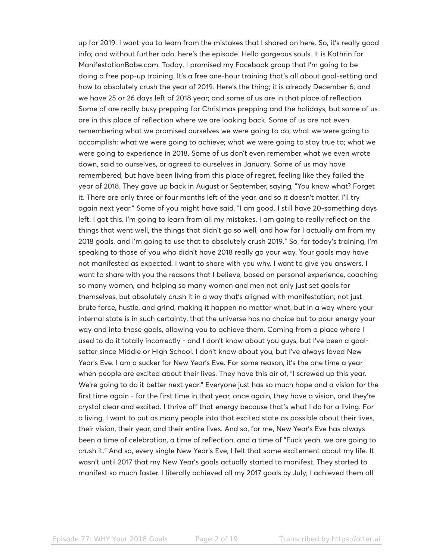up for 2019. I want you to learn from the mistakes that I shared on here. So, it's really good info; and without further ado, here's the episode. Hello gorgeous souls. It is Kathrin for ManifestationBabe.com. Today, I promised my Facebook group that I'm going to be doing a free pop-up training. It's a free one-hour training that's all about goal-setting and how to absolutely crush the year of 2019. Here's the thing; it is already December 6, and we have 25 or 26 days left of 2018 year; and some of us are in that place of reflection. Some of are really busy prepping for Christmas prepping and the holidays, but some of us are in this place of reflection where we are looking back. Some of us are not even remembering what we promised ourselves we were going to do; what we were going to accomplish; what we were going to achieve; what we were going to stay true to; what we were going to experience in 2018. Some of us don't even remember what we even wrote down, said to ourselves, or agreed to ourselves in January. Some of us may have remembered, but have been living from this place of regret, feeling like they failed the year of 2018. They gave up back in August or September, saying, "You know what? Forget it. There are only three or four months left of the year, and so it doesn't matter. I'll try again next year." Some of you might have said, "I am good. I still have 20-something days left. I got this. I'm going to learn from all my mistakes. I am going to really reflect on the things that went well, the things that didn't go so well, and how far I actually am from my 2018 goals, and I'm going to use that to absolutely crush 2019." So, for today's training, I'm speaking to those of you who didn't have 2018 really go your way. Your goals may have not manifested as expected. I want to share with you why. I want to give you answers. I want to share with you the reasons that I believe, based on personal experience, coaching so many women, and helping so many women and men not only just set goals for themselves, but absolutely crush it in a way that's aligned with manifestation; not just brute force, hustle, and grind, making it happen no matter what, but in a way where your internal state is in such certainty, that the universe has no choice but to pour energy your way and into those goals, allowing you to achieve them. Coming from a place where I used to do it totally incorrectly - and I don't know about you guys, but I've been a goalsetter since Middle or High School. I don't know about you, but I've always loved New Year's Eve. I am a sucker for New Year's Eve. For some reason, it's the one time a year when people are excited about their lives. They have this air of, "I screwed up this year. We're going to do it better next year." Everyone just has so much hope and a vision for the first time again - for the first time in that year, once again, they have a vision, and they're crystal clear and excited. I thrive off that energy because that's what I do for a living. For a living, I want to put as many people into that excited state as possible about their lives, their vision, their year, and their entire lives. And so, for me, New Year's Eve has always been a time of celebration, a time of reflection, and a time of "Fuck yeah, we are going to crush it." And so, every single New Year's Eve, I felt that same excitement about my life. It wasn't until 2017 that my New Year's goals actually started to manifest. They started to manifest so much faster. I literally achieved all my 2017 goals by July; I achieved them all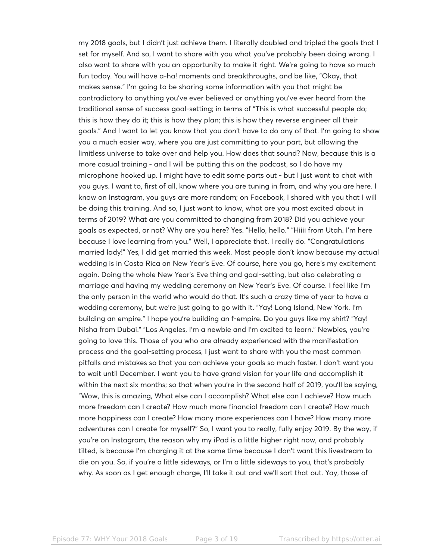my 2018 goals, but I didn't just achieve them. I literally doubled and tripled the goals that I set for myself. And so, I want to share with you what you've probably been doing wrong. I also want to share with you an opportunity to make it right. We're going to have so much fun today. You will have a-ha! moments and breakthroughs, and be like, "Okay, that makes sense." I'm going to be sharing some information with you that might be contradictory to anything you've ever believed or anything you've ever heard from the traditional sense of success goal-setting; in terms of "This is what successful people do; this is how they do it; this is how they plan; this is how they reverse engineer all their goals." And I want to let you know that you don't have to do any of that. I'm going to show you a much easier way, where you are just committing to your part, but allowing the limitless universe to take over and help you. How does that sound? Now, because this is a more casual training - and I will be putting this on the podcast, so I do have my microphone hooked up. I might have to edit some parts out - but I just want to chat with you guys. I want to, first of all, know where you are tuning in from, and why you are here. I know on Instagram, you guys are more random; on Facebook, I shared with you that I will be doing this training. And so, I just want to know, what are you most excited about in terms of 2019? What are you committed to changing from 2018? Did you achieve your goals as expected, or not? Why are you here? Yes. "Hello, hello." "Hiiii from Utah. I'm here because I love learning from you." Well, I appreciate that. I really do. "Congratulations married lady!" Yes, I did get married this week. Most people don't know because my actual wedding is in Costa Rica on New Year's Eve. Of course, here you go, here's my excitement again. Doing the whole New Year's Eve thing and goal-setting, but also celebrating a marriage and having my wedding ceremony on New Year's Eve. Of course. I feel like I'm the only person in the world who would do that. It's such a crazy time of year to have a wedding ceremony, but we're just going to go with it. "Yay! Long Island, New York. I'm building an empire." I hope you're building an f-empire. Do you guys like my shirt? "Yay! Nisha from Dubai." "Los Angeles, I'm a newbie and I'm excited to learn." Newbies, you're going to love this. Those of you who are already experienced with the manifestation process and the goal-setting process, I just want to share with you the most common pitfalls and mistakes so that you can achieve your goals so much faster. I don't want you to wait until December. I want you to have grand vision for your life and accomplish it within the next six months; so that when you're in the second half of 2019, you'll be saying, "Wow, this is amazing, What else can I accomplish? What else can I achieve? How much more freedom can I create? How much more financial freedom can I create? How much more happiness can I create? How many more experiences can I have? How many more adventures can I create for myself?" So, I want you to really, fully enjoy 2019. By the way, if you're on Instagram, the reason why my iPad is a little higher right now, and probably tilted, is because I'm charging it at the same time because I don't want this livestream to die on you. So, if you're a little sideways, or I'm a little sideways to you, that's probably why. As soon as I get enough charge, I'll take it out and we'll sort that out. Yay, those of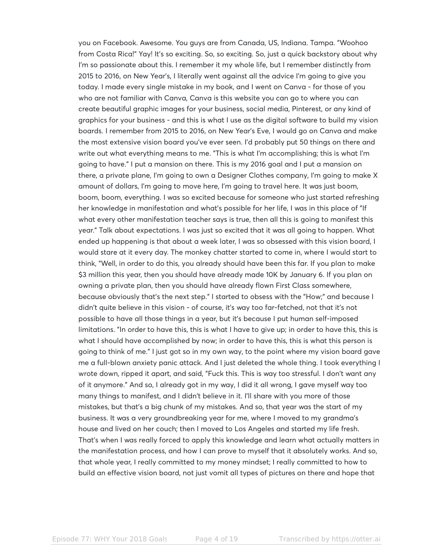you on Facebook. Awesome. You guys are from Canada, US, Indiana. Tampa. "Woohoo from Costa Rica!" Yay! It's so exciting. So, so exciting. So, just a quick backstory about why I'm so passionate about this. I remember it my whole life, but I remember distinctly from 2015 to 2016, on New Year's, I literally went against all the advice I'm going to give you today. I made every single mistake in my book, and I went on Canva - for those of you who are not familiar with Canva, Canva is this website you can go to where you can create beautiful graphic images for your business, social media, Pinterest, or any kind of graphics for your business - and this is what I use as the digital software to build my vision boards. I remember from 2015 to 2016, on New Year's Eve, I would go on Canva and make the most extensive vision board you've ever seen. I'd probably put 50 things on there and write out what everything means to me. "This is what I'm accomplishing; this is what I'm going to have." I put a mansion on there. This is my 2016 goal and I put a mansion on there, a private plane, I'm going to own a Designer Clothes company, I'm going to make X amount of dollars, I'm going to move here, I'm going to travel here. It was just boom, boom, boom, everything. I was so excited because for someone who just started refreshing her knowledge in manifestation and what's possible for her life, I was in this place of "If what every other manifestation teacher says is true, then all this is going to manifest this year." Talk about expectations. I was just so excited that it was all going to happen. What ended up happening is that about a week later, I was so obsessed with this vision board, I would stare at it every day. The monkey chatter started to come in, where I would start to think, "Well, in order to do this, you already should have been this far. If you plan to make \$3 million this year, then you should have already made 10K by January 6. If you plan on owning a private plan, then you should have already flown First Class somewhere, because obviously that's the next step." I started to obsess with the "How;" and because I didn't quite believe in this vision - of course, it's way too far-fetched, not that it's not possible to have all those things in a year, but it's because I put human self-imposed limitations. "In order to have this, this is what I have to give up; in order to have this, this is what I should have accomplished by now; in order to have this, this is what this person is going to think of me." I just got so in my own way, to the point where my vision board gave me a full-blown anxiety panic attack. And I just deleted the whole thing. I took everything I wrote down, ripped it apart, and said, "Fuck this. This is way too stressful. I don't want any of it anymore." And so, I already got in my way, I did it all wrong, I gave myself way too many things to manifest, and I didn't believe in it. I'll share with you more of those mistakes, but that's a big chunk of my mistakes. And so, that year was the start of my business. It was a very groundbreaking year for me, where I moved to my grandma's house and lived on her couch; then I moved to Los Angeles and started my life fresh. That's when I was really forced to apply this knowledge and learn what actually matters in the manifestation process, and how I can prove to myself that it absolutely works. And so, that whole year, I really committed to my money mindset; I really committed to how to build an effective vision board, not just vomit all types of pictures on there and hope that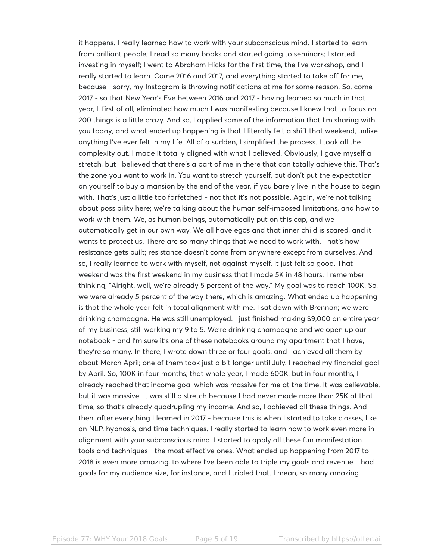it happens. I really learned how to work with your subconscious mind. I started to learn from brilliant people; I read so many books and started going to seminars; I started investing in myself; I went to Abraham Hicks for the first time, the live workshop, and I really started to learn. Come 2016 and 2017, and everything started to take off for me, because - sorry, my Instagram is throwing notifications at me for some reason. So, come 2017 - so that New Year's Eve between 2016 and 2017 - having learned so much in that year, I, first of all, eliminated how much I was manifesting because I knew that to focus on 200 things is a little crazy. And so, I applied some of the information that I'm sharing with you today, and what ended up happening is that I literally felt a shift that weekend, unlike anything I've ever felt in my life. All of a sudden, I simplified the process. I took all the complexity out. I made it totally aligned with what I believed. Obviously, I gave myself a stretch, but I believed that there's a part of me in there that can totally achieve this. That's the zone you want to work in. You want to stretch yourself, but don't put the expectation on yourself to buy a mansion by the end of the year, if you barely live in the house to begin with. That's just a little too farfetched - not that it's not possible. Again, we're not talking about possibility here; we're talking about the human self-imposed limitations, and how to work with them. We, as human beings, automatically put on this cap, and we automatically get in our own way. We all have egos and that inner child is scared, and it wants to protect us. There are so many things that we need to work with. That's how resistance gets built; resistance doesn't come from anywhere except from ourselves. And so, I really learned to work with myself, not against myself. It just felt so good. That weekend was the first weekend in my business that I made 5K in 48 hours. I remember thinking, "Alright, well, we're already 5 percent of the way." My goal was to reach 100K. So, we were already 5 percent of the way there, which is amazing. What ended up happening is that the whole year felt in total alignment with me. I sat down with Brennan; we were drinking champagne. He was still unemployed. I just finished making \$9,000 an entire year of my business, still working my 9 to 5. We're drinking champagne and we open up our notebook - and I'm sure it's one of these notebooks around my apartment that I have, they're so many. In there, I wrote down three or four goals, and I achieved all them by about March April; one of them took just a bit longer until July. I reached my financial goal by April. So, 100K in four months; that whole year, I made 600K, but in four months, I already reached that income goal which was massive for me at the time. It was believable, but it was massive. It was still a stretch because I had never made more than 25K at that time, so that's already quadrupling my income. And so, I achieved all these things. And then, after everything I learned in 2017 - because this is when I started to take classes, like an NLP, hypnosis, and time techniques. I really started to learn how to work even more in alignment with your subconscious mind. I started to apply all these fun manifestation tools and techniques - the most effective ones. What ended up happening from 2017 to 2018 is even more amazing, to where I've been able to triple my goals and revenue. I had goals for my audience size, for instance, and I tripled that. I mean, so many amazing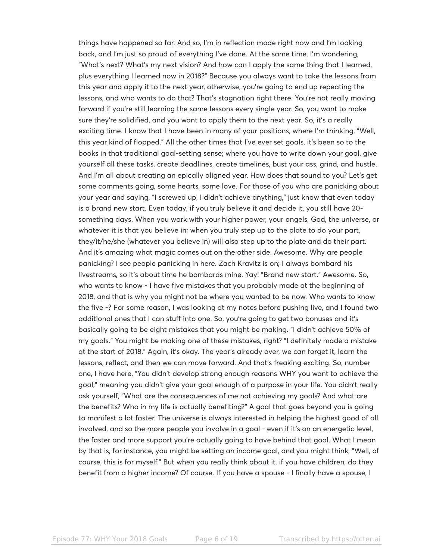things have happened so far. And so, I'm in reflection mode right now and I'm looking back, and I'm just so proud of everything I've done. At the same time, I'm wondering, "What's next? What's my next vision? And how can I apply the same thing that I learned, plus everything I learned now in 2018?" Because you always want to take the lessons from this year and apply it to the next year, otherwise, you're going to end up repeating the lessons, and who wants to do that? That's stagnation right there. You're not really moving forward if you're still learning the same lessons every single year. So, you want to make sure they're solidified, and you want to apply them to the next year. So, it's a really exciting time. I know that I have been in many of your positions, where I'm thinking, "Well, this year kind of flopped." All the other times that I've ever set goals, it's been so to the books in that traditional goal-setting sense; where you have to write down your goal, give yourself all these tasks, create deadlines, create timelines, bust your ass, grind, and hustle. And I'm all about creating an epically aligned year. How does that sound to you? Let's get some comments going, some hearts, some love. For those of you who are panicking about your year and saying, "I screwed up, I didn't achieve anything," just know that even today is a brand new start. Even today, if you truly believe it and decide it, you still have 20 something days. When you work with your higher power, your angels, God, the universe, or whatever it is that you believe in; when you truly step up to the plate to do your part, they/it/he/she (whatever you believe in) will also step up to the plate and do their part. And it's amazing what magic comes out on the other side. Awesome. Why are people panicking? I see people panicking in here. Zach Kravitz is on; I always bombard his livestreams, so it's about time he bombards mine. Yay! "Brand new start." Awesome. So, who wants to know - I have five mistakes that you probably made at the beginning of 2018, and that is why you might not be where you wanted to be now. Who wants to know the five -? For some reason, I was looking at my notes before pushing live, and I found two additional ones that I can stuff into one. So, you're going to get two bonuses and it's basically going to be eight mistakes that you might be making. "I didn't achieve 50% of my goals." You might be making one of these mistakes, right? "I definitely made a mistake at the start of 2018." Again, it's okay. The year's already over, we can forget it, learn the lessons, reflect, and then we can move forward. And that's freaking exciting. So, number one, I have here, "You didn't develop strong enough reasons WHY you want to achieve the goal;" meaning you didn't give your goal enough of a purpose in your life. You didn't really ask yourself, "What are the consequences of me not achieving my goals? And what are the benefits? Who in my life is actually benefiting?" A goal that goes beyond you is going to manifest a lot faster. The universe is always interested in helping the highest good of all involved, and so the more people you involve in a goal - even if it's on an energetic level, the faster and more support you're actually going to have behind that goal. What I mean by that is, for instance, you might be setting an income goal, and you might think, "Well, of course, this is for myself." But when you really think about it, if you have children, do they benefit from a higher income? Of course. If you have a spouse - I finally have a spouse, I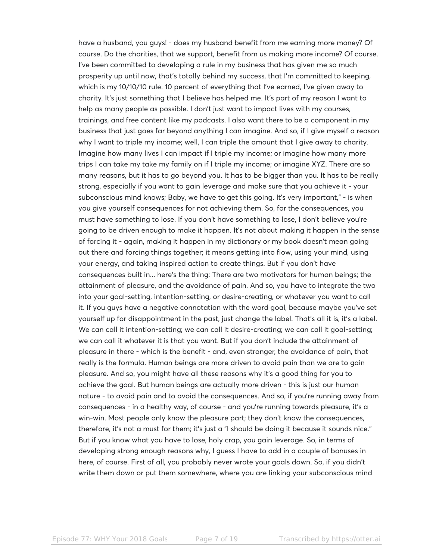have a husband, you guys! - does my husband benefit from me earning more money? Of course. Do the charities, that we support, benefit from us making more income? Of course. I've been committed to developing a rule in my business that has given me so much prosperity up until now, that's totally behind my success, that I'm committed to keeping, which is my 10/10/10 rule. 10 percent of everything that I've earned, I've given away to charity. It's just something that I believe has helped me. It's part of my reason I want to help as many people as possible. I don't just want to impact lives with my courses, trainings, and free content like my podcasts. I also want there to be a component in my business that just goes far beyond anything I can imagine. And so, if I give myself a reason why I want to triple my income; well, I can triple the amount that I give away to charity. Imagine how many lives I can impact if I triple my income; or imagine how many more trips I can take my take my family on if I triple my income; or imagine XYZ. There are so many reasons, but it has to go beyond you. It has to be bigger than you. It has to be really strong, especially if you want to gain leverage and make sure that you achieve it - your subconscious mind knows; Baby, we have to get this going. It's very important," - is when you give yourself consequences for not achieving them. So, for the consequences, you must have something to lose. If you don't have something to lose, I don't believe you're going to be driven enough to make it happen. It's not about making it happen in the sense of forcing it - again, making it happen in my dictionary or my book doesn't mean going out there and forcing things together; it means getting into flow, using your mind, using your energy, and taking inspired action to create things. But if you don't have consequences built in... here's the thing: There are two motivators for human beings; the attainment of pleasure, and the avoidance of pain. And so, you have to integrate the two into your goal-setting, intention-setting, or desire-creating, or whatever you want to call it. If you guys have a negative connotation with the word goal, because maybe you've set yourself up for disappointment in the past, just change the label. That's all it is, it's a label. We can call it intention-setting; we can call it desire-creating; we can call it goal-setting; we can call it whatever it is that you want. But if you don't include the attainment of pleasure in there - which is the benefit - and, even stronger, the avoidance of pain, that really is the formula. Human beings are more driven to avoid pain than we are to gain pleasure. And so, you might have all these reasons why it's a good thing for you to achieve the goal. But human beings are actually more driven - this is just our human nature - to avoid pain and to avoid the consequences. And so, if you're running away from consequences - in a healthy way, of course - and you're running towards pleasure, it's a win-win. Most people only know the pleasure part; they don't know the consequences, therefore, it's not a must for them; it's just a "I should be doing it because it sounds nice." But if you know what you have to lose, holy crap, you gain leverage. So, in terms of developing strong enough reasons why, I guess I have to add in a couple of bonuses in here, of course. First of all, you probably never wrote your goals down. So, if you didn't write them down or put them somewhere, where you are linking your subconscious mind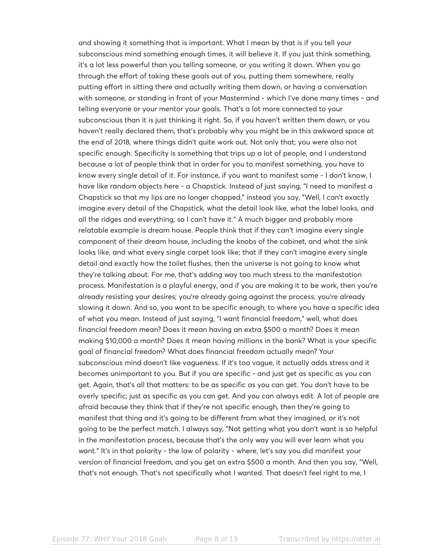and showing it something that is important. What I mean by that is if you tell your subconscious mind something enough times, it will believe it. If you just think something, it's a lot less powerful than you telling someone, or you writing it down. When you go through the effort of taking these goals out of you, putting them somewhere, really putting effort in sitting there and actually writing them down, or having a conversation with someone, or standing in front of your Mastermind - which I've done many times - and telling everyone or your mentor your goals. That's a lot more connected to your subconscious than it is just thinking it right. So, if you haven't written them down, or you haven't really declared them, that's probably why you might be in this awkward space at the end of 2018, where things didn't quite work out. Not only that; you were also not specific enough. Specificity is something that trips up a lot of people, and I understand because a lot of people think that in order for you to manifest something, you have to know every single detail of it. For instance, if you want to manifest some - I don't know, I have like random objects here - a Chapstick. Instead of just saying, "I need to manifest a Chapstick so that my lips are no longer chapped," instead you say, "Well, I can't exactly imagine every detail of the Chapstick, what the detail look like, what the label looks, and all the ridges and everything, so I can't have it." A much bigger and probably more relatable example is dream house. People think that if they can't imagine every single component of their dream house, including the knobs of the cabinet, and what the sink looks like, and what every single carpet look like; that if they can't imagine every single detail and exactly how the toilet flushes, then the universe is not going to know what they're talking about. For me, that's adding way too much stress to the manifestation process. Manifestation is a playful energy, and if you are making it to be work, then you're already resisting your desires; you're already going against the process; you're already slowing it down. And so, you want to be specific enough, to where you have a specific idea of what you mean. Instead of just saying, "I want financial freedom," well, what does financial freedom mean? Does it mean having an extra \$500 a month? Does it mean making \$10,000 a month? Does it mean having millions in the bank? What is your specific goal of financial freedom? What does financial freedom actually mean? Your subconscious mind doesn't like vagueness. If it's too vague, it actually adds stress and it becomes unimportant to you. But if you are specific - and just get as specific as you can get. Again, that's all that matters: to be as specific as you can get. You don't have to be overly specific; just as specific as you can get. And you can always edit. A lot of people are afraid because they think that if they're not specific enough, then they're going to manifest that thing and it's going to be different from what they imagined, or it's not going to be the perfect match. I always say, "Not getting what you don't want is so helpful in the manifestation process, because that's the only way you will ever learn what you want." It's in that polarity - the law of polarity - where, let's say you did manifest your version of financial freedom, and you get an extra \$500 a month. And then you say, "Well, that's not enough. That's not specifically what I wanted. That doesn't feel right to me, I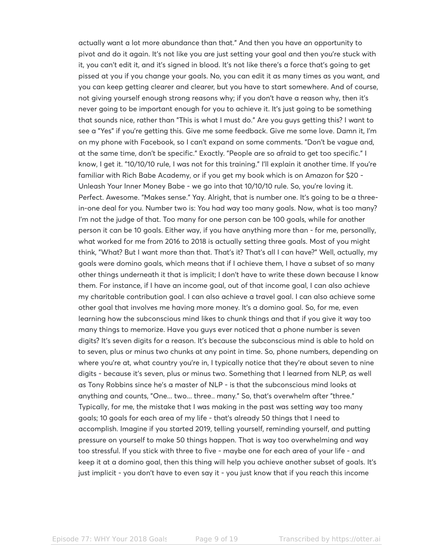actually want a lot more abundance than that." And then you have an opportunity to pivot and do it again. It's not like you are just setting your goal and then you're stuck with it, you can't edit it, and it's signed in blood. It's not like there's a force that's going to get pissed at you if you change your goals. No, you can edit it as many times as you want, and you can keep getting clearer and clearer, but you have to start somewhere. And of course, not giving yourself enough strong reasons why; if you don't have a reason why, then it's never going to be important enough for you to achieve it. It's just going to be something that sounds nice, rather than "This is what I must do." Are you guys getting this? I want to see a "Yes" if you're getting this. Give me some feedback. Give me some love. Damn it, I'm on my phone with Facebook, so I can't expand on some comments. "Don't be vague and, at the same time, don't be specific." Exactly. "People are so afraid to get too specific." I know, I get it. "10/10/10 rule, I was not for this training." I'll explain it another time. If you're familiar with Rich Babe Academy, or if you get my book which is on Amazon for \$20 - Unleash Your Inner Money Babe - we go into that 10/10/10 rule. So, you're loving it. Perfect. Awesome. "Makes sense." Yay. Alright, that is number one. It's going to be a threein-one deal for you. Number two is: You had way too many goals. Now, what is too many? I'm not the judge of that. Too many for one person can be 100 goals, while for another person it can be 10 goals. Either way, if you have anything more than - for me, personally, what worked for me from 2016 to 2018 is actually setting three goals. Most of you might think, "What? But I want more than that. That's it? That's all I can have?" Well, actually, my goals were domino goals, which means that if I achieve them, I have a subset of so many other things underneath it that is implicit; I don't have to write these down because I know them. For instance, if I have an income goal, out of that income goal, I can also achieve my charitable contribution goal. I can also achieve a travel goal. I can also achieve some other goal that involves me having more money. It's a domino goal. So, for me, even learning how the subconscious mind likes to chunk things and that if you give it way too many things to memorize. Have you guys ever noticed that a phone number is seven digits? It's seven digits for a reason. It's because the subconscious mind is able to hold on to seven, plus or minus two chunks at any point in time. So, phone numbers, depending on where you're at, what country you're in, I typically notice that they're about seven to nine digits - because it's seven, plus or minus two. Something that I learned from NLP, as well as Tony Robbins since he's a master of NLP - is that the subconscious mind looks at anything and counts, "One... two... three.. many." So, that's overwhelm after "three." Typically, for me, the mistake that I was making in the past was setting way too many goals; 10 goals for each area of my life - that's already 50 things that I need to accomplish. Imagine if you started 2019, telling yourself, reminding yourself, and putting pressure on yourself to make 50 things happen. That is way too overwhelming and way too stressful. If you stick with three to five - maybe one for each area of your life - and keep it at a domino goal, then this thing will help you achieve another subset of goals. It's just implicit - you don't have to even say it - you just know that if you reach this income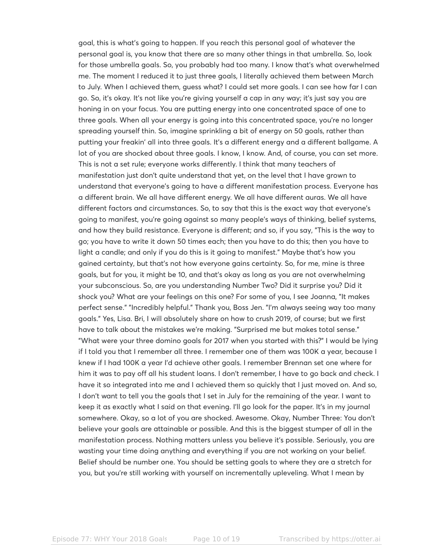goal, this is what's going to happen. If you reach this personal goal of whatever the personal goal is, you know that there are so many other things in that umbrella. So, look for those umbrella goals. So, you probably had too many. I know that's what overwhelmed me. The moment I reduced it to just three goals, I literally achieved them between March to July. When I achieved them, guess what? I could set more goals. I can see how far I can go. So, it's okay. It's not like you're giving yourself a cap in any way; it's just say you are honing in on your focus. You are putting energy into one concentrated space of one to three goals. When all your energy is going into this concentrated space, you're no longer spreading yourself thin. So, imagine sprinkling a bit of energy on 50 goals, rather than putting your freakin' all into three goals. It's a different energy and a different ballgame. A lot of you are shocked about three goals. I know, I know. And, of course, you can set more. This is not a set rule; everyone works differently. I think that many teachers of manifestation just don't quite understand that yet, on the level that I have grown to understand that everyone's going to have a different manifestation process. Everyone has a different brain. We all have different energy. We all have different auras. We all have different factors and circumstances. So, to say that this is the exact way that everyone's going to manifest, you're going against so many people's ways of thinking, belief systems, and how they build resistance. Everyone is different; and so, if you say, "This is the way to go; you have to write it down 50 times each; then you have to do this; then you have to light a candle; and only if you do this is it going to manifest." Maybe that's how you gained certainty, but that's not how everyone gains certainty. So, for me, mine is three goals, but for you, it might be 10, and that's okay as long as you are not overwhelming your subconscious. So, are you understanding Number Two? Did it surprise you? Did it shock you? What are your feelings on this one? For some of you, I see Joanna, "It makes perfect sense." "Incredibly helpful." Thank you, Boss Jen. "I'm always seeing way too many goals." Yes, Lisa. Bri, I will absolutely share on how to crush 2019, of course; but we first have to talk about the mistakes we're making. "Surprised me but makes total sense." "What were your three domino goals for 2017 when you started with this?" I would be lying if I told you that I remember all three. I remember one of them was 100K a year, because I knew if I had 100K a year I'd achieve other goals. I remember Brennan set one where for him it was to pay off all his student loans. I don't remember, I have to go back and check. I have it so integrated into me and I achieved them so quickly that I just moved on. And so, I don't want to tell you the goals that I set in July for the remaining of the year. I want to keep it as exactly what I said on that evening. I'll go look for the paper. It's in my journal somewhere. Okay, so a lot of you are shocked. Awesome. Okay, Number Three: You don't believe your goals are attainable or possible. And this is the biggest stumper of all in the manifestation process. Nothing matters unless you believe it's possible. Seriously, you are wasting your time doing anything and everything if you are not working on your belief. Belief should be number one. You should be setting goals to where they are a stretch for you, but you're still working with yourself on incrementally upleveling. What I mean by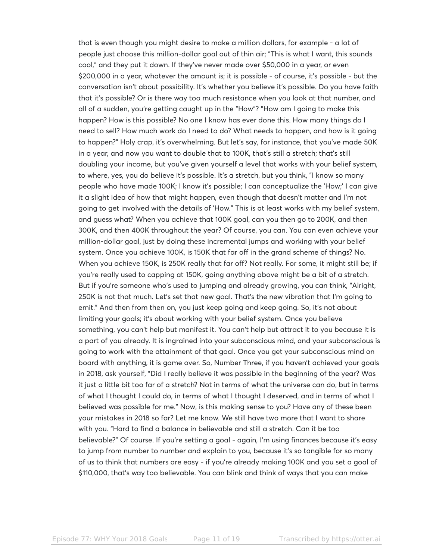that is even though you might desire to make a million dollars, for example - a lot of people just choose this million-dollar goal out of thin air; "This is what I want, this sounds cool," and they put it down. If they've never made over \$50,000 in a year, or even \$200,000 in a year, whatever the amount is; it is possible - of course, it's possible - but the conversation isn't about possibility. It's whether you believe it's possible. Do you have faith that it's possible? Or is there way too much resistance when you look at that number, and all of a sudden, you're getting caught up in the "How"? "How am I going to make this happen? How is this possible? No one I know has ever done this. How many things do I need to sell? How much work do I need to do? What needs to happen, and how is it going to happen?" Holy crap, it's overwhelming. But let's say, for instance, that you've made 50K in a year, and now you want to double that to 100K, that's still a stretch; that's still doubling your income, but you've given yourself a level that works with your belief system, to where, yes, you do believe it's possible. It's a stretch, but you think, "I know so many people who have made 100K; I know it's possible; I can conceptualize the 'How;' I can give it a slight idea of how that might happen, even though that doesn't matter and I'm not going to get involved with the details of 'How." This is at least works with my belief system, and guess what? When you achieve that 100K goal, can you then go to 200K, and then 300K, and then 400K throughout the year? Of course, you can. You can even achieve your million-dollar goal, just by doing these incremental jumps and working with your belief system. Once you achieve 100K, is 150K that far off in the grand scheme of things? No. When you achieve 150K, is 250K really that far off? Not really. For some, it might still be; if you're really used to capping at 150K, going anything above might be a bit of a stretch. But if you're someone who's used to jumping and already growing, you can think, "Alright, 250K is not that much. Let's set that new goal. That's the new vibration that I'm going to emit." And then from then on, you just keep going and keep going. So, it's not about limiting your goals; it's about working with your belief system. Once you believe something, you can't help but manifest it. You can't help but attract it to you because it is a part of you already. It is ingrained into your subconscious mind, and your subconscious is going to work with the attainment of that goal. Once you get your subconscious mind on board with anything, it is game over. So, Number Three, if you haven't achieved your goals in 2018, ask yourself, "Did I really believe it was possible in the beginning of the year? Was it just a little bit too far of a stretch? Not in terms of what the universe can do, but in terms of what I thought I could do, in terms of what I thought I deserved, and in terms of what I believed was possible for me." Now, is this making sense to you? Have any of these been your mistakes in 2018 so far? Let me know. We still have two more that I want to share with you. "Hard to find a balance in believable and still a stretch. Can it be too believable?" Of course. If you're setting a goal - again, I'm using finances because it's easy to jump from number to number and explain to you, because it's so tangible for so many of us to think that numbers are easy - if you're already making 100K and you set a goal of \$110,000, that's way too believable. You can blink and think of ways that you can make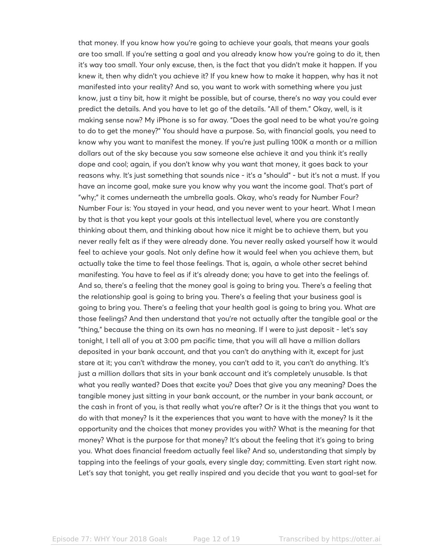that money. If you know how you're going to achieve your goals, that means your goals are too small. If you're setting a goal and you already know how you're going to do it, then it's way too small. Your only excuse, then, is the fact that you didn't make it happen. If you knew it, then why didn't you achieve it? If you knew how to make it happen, why has it not manifested into your reality? And so, you want to work with something where you just know, just a tiny bit, how it might be possible, but of course, there's no way you could ever predict the details. And you have to let go of the details. "All of them." Okay, well, is it making sense now? My iPhone is so far away. "Does the goal need to be what you're going to do to get the money?" You should have a purpose. So, with financial goals, you need to know why you want to manifest the money. If you're just pulling 100K a month or a million dollars out of the sky because you saw someone else achieve it and you think it's really dope and cool; again, if you don't know why you want that money, it goes back to your reasons why. It's just something that sounds nice - it's a "should" - but it's not a must. If you have an income goal, make sure you know why you want the income goal. That's part of "why;" it comes underneath the umbrella goals. Okay, who's ready for Number Four? Number Four is: You stayed in your head, and you never went to your heart. What I mean by that is that you kept your goals at this intellectual level, where you are constantly thinking about them, and thinking about how nice it might be to achieve them, but you never really felt as if they were already done. You never really asked yourself how it would feel to achieve your goals. Not only define how it would feel when you achieve them, but actually take the time to feel those feelings. That is, again, a whole other secret behind manifesting. You have to feel as if it's already done; you have to get into the feelings of. And so, there's a feeling that the money goal is going to bring you. There's a feeling that the relationship goal is going to bring you. There's a feeling that your business goal is going to bring you. There's a feeling that your health goal is going to bring you. What are those feelings? And then understand that you're not actually after the tangible goal or the "thing," because the thing on its own has no meaning. If I were to just deposit - let's say tonight, I tell all of you at 3:00 pm pacific time, that you will all have a million dollars deposited in your bank account, and that you can't do anything with it, except for just stare at it; you can't withdraw the money, you can't add to it, you can't do anything. It's just a million dollars that sits in your bank account and it's completely unusable. Is that what you really wanted? Does that excite you? Does that give you any meaning? Does the tangible money just sitting in your bank account, or the number in your bank account, or the cash in front of you, is that really what you're after? Or is it the things that you want to do with that money? Is it the experiences that you want to have with the money? Is it the opportunity and the choices that money provides you with? What is the meaning for that money? What is the purpose for that money? It's about the feeling that it's going to bring you. What does financial freedom actually feel like? And so, understanding that simply by tapping into the feelings of your goals, every single day; committing. Even start right now. Let's say that tonight, you get really inspired and you decide that you want to goal-set for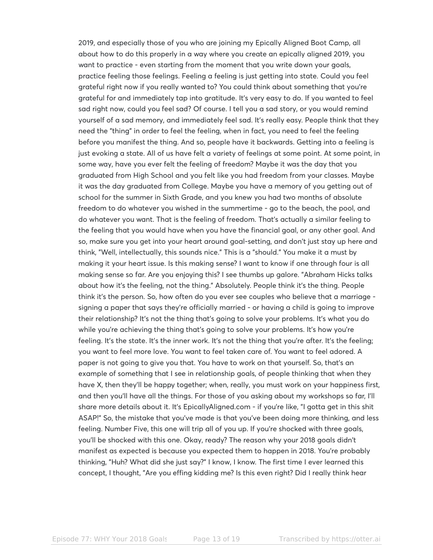2019, and especially those of you who are joining my Epically Aligned Boot Camp, all about how to do this properly in a way where you create an epically aligned 2019, you want to practice - even starting from the moment that you write down your goals, practice feeling those feelings. Feeling a feeling is just getting into state. Could you feel grateful right now if you really wanted to? You could think about something that you're grateful for and immediately tap into gratitude. It's very easy to do. If you wanted to feel sad right now, could you feel sad? Of course. I tell you a sad story, or you would remind yourself of a sad memory, and immediately feel sad. It's really easy. People think that they need the "thing" in order to feel the feeling, when in fact, you need to feel the feeling before you manifest the thing. And so, people have it backwards. Getting into a feeling is just evoking a state. All of us have felt a variety of feelings at some point. At some point, in some way, have you ever felt the feeling of freedom? Maybe it was the day that you graduated from High School and you felt like you had freedom from your classes. Maybe it was the day graduated from College. Maybe you have a memory of you getting out of school for the summer in Sixth Grade, and you knew you had two months of absolute freedom to do whatever you wished in the summertime - go to the beach, the pool, and do whatever you want. That is the feeling of freedom. That's actually a similar feeling to the feeling that you would have when you have the financial goal, or any other goal. And so, make sure you get into your heart around goal-setting, and don't just stay up here and think, "Well, intellectually, this sounds nice." This is a "should." You make it a must by making it your heart issue. Is this making sense? I want to know if one through four is all making sense so far. Are you enjoying this? I see thumbs up galore. "Abraham Hicks talks about how it's the feeling, not the thing." Absolutely. People think it's the thing. People think it's the person. So, how often do you ever see couples who believe that a marriage signing a paper that says they're officially married - or having a child is going to improve their relationship? It's not the thing that's going to solve your problems. It's what you do while you're achieving the thing that's going to solve your problems. It's how you're feeling. It's the state. It's the inner work. It's not the thing that you're after. It's the feeling; you want to feel more love. You want to feel taken care of. You want to feel adored. A paper is not going to give you that. You have to work on that yourself. So, that's an example of something that I see in relationship goals, of people thinking that when they have X, then they'll be happy together; when, really, you must work on your happiness first, and then you'll have all the things. For those of you asking about my workshops so far, I'll share more details about it. It's EpicallyAligned.com - if you're like, "I gotta get in this shit ASAP!" So, the mistake that you've made is that you've been doing more thinking, and less feeling. Number Five, this one will trip all of you up. If you're shocked with three goals, you'll be shocked with this one. Okay, ready? The reason why your 2018 goals didn't manifest as expected is because you expected them to happen in 2018. You're probably thinking, "Huh? What did she just say?" I know, I know. The first time I ever learned this concept, I thought, "Are you effing kidding me? Is this even right? Did I really think hear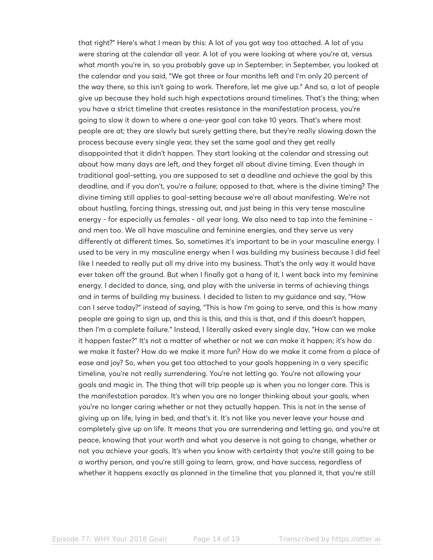that right?" Here's what I mean by this: A lot of you got way too attached. A lot of you were staring at the calendar all year. A lot of you were looking at where you're at, versus what month you're in, so you probably gave up in September; in September, you looked at the calendar and you said, "We got three or four months left and I'm only 20 percent of the way there, so this isn't going to work. Therefore, let me give up." And so, a lot of people give up because they hold such high expectations around timelines. That's the thing; when you have a strict timeline that creates resistance in the manifestation process, you're going to slow it down to where a one-year goal can take 10 years. That's where most people are at; they are slowly but surely getting there, but they're really slowing down the process because every single year, they set the same goal and they get really disappointed that it didn't happen. They start looking at the calendar and stressing out about how many days are left, and they forget all about divine timing. Even though in traditional goal-setting, you are supposed to set a deadline and achieve the goal by this deadline, and if you don't, you're a failure; opposed to that, where is the divine timing? The divine timing still applies to goal-setting because we're all about manifesting. We're not about hustling, forcing things, stressing out, and just being in this very tense masculine energy - for especially us females - all year long. We also need to tap into the feminine and men too. We all have masculine and feminine energies, and they serve us very differently at different times. So, sometimes it's important to be in your masculine energy. I used to be very in my masculine energy when I was building my business because I did feel like I needed to really put all my drive into my business. That's the only way it would have ever taken off the ground. But when I finally got a hang of it, I went back into my feminine energy. I decided to dance, sing, and play with the universe in terms of achieving things and in terms of building my business. I decided to listen to my guidance and say, "How can I serve today?" instead of saying, "This is how I'm going to serve, and this is how many people are going to sign up, and this is this, and this is that, and if this doesn't happen, then I'm a complete failure." Instead, I literally asked every single day, "How can we make it happen faster?" It's not a matter of whether or not we can make it happen; it's how do we make it faster? How do we make it more fun? How do we make it come from a place of ease and joy? So, when you get too attached to your goals happening in a very specific timeline, you're not really surrendering. You're not letting go. You're not allowing your goals and magic in. The thing that will trip people up is when you no longer care. This is the manifestation paradox. It's when you are no longer thinking about your goals, when you're no longer caring whether or not they actually happen. This is not in the sense of giving up on life, lying in bed, and that's it. It's not like you never leave your house and completely give up on life. It means that you are surrendering and letting go, and you're at peace, knowing that your worth and what you deserve is not going to change, whether or not you achieve your goals. It's when you know with certainty that you're still going to be a worthy person, and you're still going to learn, grow, and have success, regardless of whether it happens exactly as planned in the timeline that you planned it, that you're still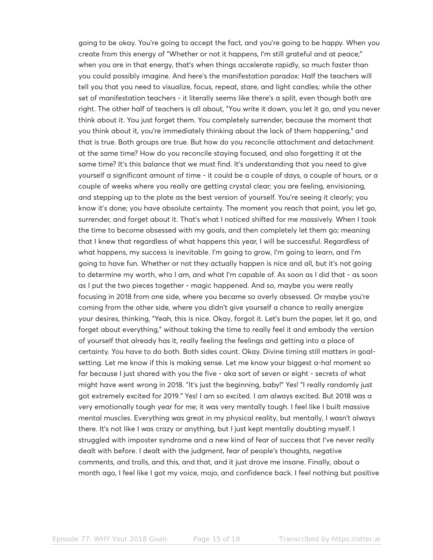going to be okay. You're going to accept the fact, and you're going to be happy. When you create from this energy of "Whether or not it happens, I'm still grateful and at peace;" when you are in that energy, that's when things accelerate rapidly, so much faster than you could possibly imagine. And here's the manifestation paradox: Half the teachers will tell you that you need to visualize, focus, repeat, stare, and light candles; while the other set of manifestation teachers - it literally seems like there's a split, even though both are right. The other half of teachers is all about, "You write it down, you let it go, and you never think about it. You just forget them. You completely surrender, because the moment that you think about it, you're immediately thinking about the lack of them happening," and that is true. Both groups are true. But how do you reconcile attachment and detachment at the same time? How do you reconcile staying focused, and also forgetting it at the same time? It's this balance that we must find. It's understanding that you need to give yourself a significant amount of time - it could be a couple of days, a couple of hours, or a couple of weeks where you really are getting crystal clear; you are feeling, envisioning, and stepping up to the plate as the best version of yourself. You're seeing it clearly; you know it's done; you have absolute certainty. The moment you reach that point, you let go, surrender, and forget about it. That's what I noticed shifted for me massively. When I took the time to become obsessed with my goals, and then completely let them go; meaning that I knew that regardless of what happens this year, I will be successful. Regardless of what happens, my success is inevitable. I'm going to grow, I'm going to learn, and I'm going to have fun. Whether or not they actually happen is nice and all, but it's not going to determine my worth, who I am, and what I'm capable of. As soon as I did that - as soon as I put the two pieces together - magic happened. And so, maybe you were really focusing in 2018 from one side, where you became so overly obsessed. Or maybe you're coming from the other side, where you didn't give yourself a chance to really energize your desires, thinking, "Yeah, this is nice. Okay, forgot it. Let's burn the paper, let it go, and forget about everything," without taking the time to really feel it and embody the version of yourself that already has it, really feeling the feelings and getting into a place of certainty. You have to do both. Both sides count. Okay. Divine timing still matters in goalsetting. Let me know if this is making sense. Let me know your biggest a-ha! moment so far because I just shared with you the five - aka sort of seven or eight - secrets of what might have went wrong in 2018. "It's just the beginning, baby!" Yes! "I really randomly just got extremely excited for 2019." Yes! I am so excited. I am always excited. But 2018 was a very emotionally tough year for me; it was very mentally tough. I feel like I built massive mental muscles. Everything was great in my physical reality, but mentally, I wasn't always there. It's not like I was crazy or anything, but I just kept mentally doubting myself. I struggled with imposter syndrome and a new kind of fear of success that I've never really dealt with before. I dealt with the judgment, fear of people's thoughts, negative comments, and trolls, and this, and that, and it just drove me insane. Finally, about a month ago, I feel like I got my voice, mojo, and confidence back. I feel nothing but positive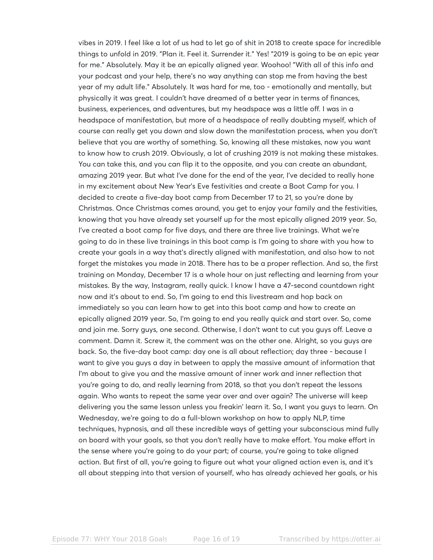vibes in 2019. I feel like a lot of us had to let go of shit in 2018 to create space for incredible things to unfold in 2019. "Plan it. Feel it. Surrender it." Yes! "2019 is going to be an epic year for me." Absolutely. May it be an epically aligned year. Woohoo! "With all of this info and your podcast and your help, there's no way anything can stop me from having the best year of my adult life." Absolutely. It was hard for me, too - emotionally and mentally, but physically it was great. I couldn't have dreamed of a better year in terms of finances, business, experiences, and adventures, but my headspace was a little off. I was in a headspace of manifestation, but more of a headspace of really doubting myself, which of course can really get you down and slow down the manifestation process, when you don't believe that you are worthy of something. So, knowing all these mistakes, now you want to know how to crush 2019. Obviously, a lot of crushing 2019 is not making these mistakes. You can take this, and you can flip it to the opposite, and you can create an abundant, amazing 2019 year. But what I've done for the end of the year, I've decided to really hone in my excitement about New Year's Eve festivities and create a Boot Camp for you. I decided to create a five-day boot camp from December 17 to 21, so you're done by Christmas. Once Christmas comes around, you get to enjoy your family and the festivities, knowing that you have already set yourself up for the most epically aligned 2019 year. So, I've created a boot camp for five days, and there are three live trainings. What we're going to do in these live trainings in this boot camp is I'm going to share with you how to create your goals in a way that's directly aligned with manifestation, and also how to not forget the mistakes you made in 2018. There has to be a proper reflection. And so, the first training on Monday, December 17 is a whole hour on just reflecting and learning from your mistakes. By the way, Instagram, really quick. I know I have a 47-second countdown right now and it's about to end. So, I'm going to end this livestream and hop back on immediately so you can learn how to get into this boot camp and how to create an epically aligned 2019 year. So, I'm going to end you really quick and start over. So, come and join me. Sorry guys, one second. Otherwise, I don't want to cut you guys off. Leave a comment. Damn it. Screw it, the comment was on the other one. Alright, so you guys are back. So, the five-day boot camp: day one is all about reflection; day three - because I want to give you guys a day in between to apply the massive amount of information that I'm about to give you and the massive amount of inner work and inner reflection that you're going to do, and really learning from 2018, so that you don't repeat the lessons again. Who wants to repeat the same year over and over again? The universe will keep delivering you the same lesson unless you freakin' learn it. So, I want you guys to learn. On Wednesday, we're going to do a full-blown workshop on how to apply NLP, time techniques, hypnosis, and all these incredible ways of getting your subconscious mind fully on board with your goals, so that you don't really have to make effort. You make effort in the sense where you're going to do your part; of course, you're going to take aligned action. But first of all, you're going to figure out what your aligned action even is, and it's all about stepping into that version of yourself, who has already achieved her goals, or his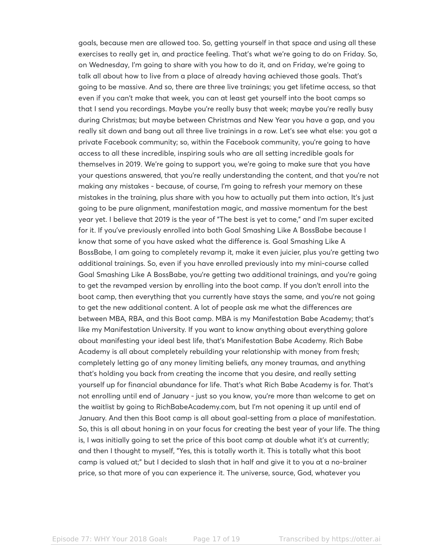goals, because men are allowed too. So, getting yourself in that space and using all these exercises to really get in, and practice feeling. That's what we're going to do on Friday. So, on Wednesday, I'm going to share with you how to do it, and on Friday, we're going to talk all about how to live from a place of already having achieved those goals. That's going to be massive. And so, there are three live trainings; you get lifetime access, so that even if you can't make that week, you can at least get yourself into the boot camps so that I send you recordings. Maybe you're really busy that week; maybe you're really busy during Christmas; but maybe between Christmas and New Year you have a gap, and you really sit down and bang out all three live trainings in a row. Let's see what else: you got a private Facebook community; so, within the Facebook community, you're going to have access to all these incredible, inspiring souls who are all setting incredible goals for themselves in 2019. We're going to support you, we're going to make sure that you have your questions answered, that you're really understanding the content, and that you're not making any mistakes - because, of course, I'm going to refresh your memory on these mistakes in the training, plus share with you how to actually put them into action, It's just going to be pure alignment, manifestation magic, and massive momentum for the best year yet. I believe that 2019 is the year of "The best is yet to come," and I'm super excited for it. If you've previously enrolled into both Goal Smashing Like A BossBabe because I know that some of you have asked what the difference is. Goal Smashing Like A BossBabe, I am going to completely revamp it, make it even juicier, plus you're getting two additional trainings. So, even if you have enrolled previously into my mini-course called Goal Smashing Like A BossBabe, you're getting two additional trainings, and you're going to get the revamped version by enrolling into the boot camp. If you don't enroll into the boot camp, then everything that you currently have stays the same, and you're not going to get the new additional content. A lot of people ask me what the differences are between MBA, RBA, and this Boot camp. MBA is my Manifestation Babe Academy; that's like my Manifestation University. If you want to know anything about everything galore about manifesting your ideal best life, that's Manifestation Babe Academy. Rich Babe Academy is all about completely rebuilding your relationship with money from fresh; completely letting go of any money limiting beliefs, any money traumas, and anything that's holding you back from creating the income that you desire, and really setting yourself up for financial abundance for life. That's what Rich Babe Academy is for. That's not enrolling until end of January - just so you know, you're more than welcome to get on the waitlist by going to RichBabeAcademy.com, but I'm not opening it up until end of January. And then this Boot camp is all about goal-setting from a place of manifestation. So, this is all about honing in on your focus for creating the best year of your life. The thing is, I was initially going to set the price of this boot camp at double what it's at currently; and then I thought to myself, "Yes, this is totally worth it. This is totally what this boot camp is valued at;" but I decided to slash that in half and give it to you at a no-brainer price, so that more of you can experience it. The universe, source, God, whatever you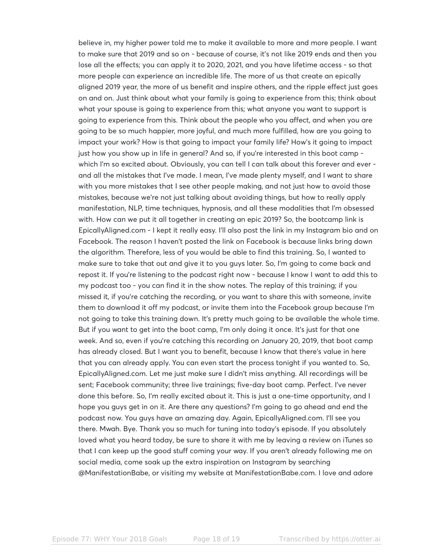believe in, my higher power told me to make it available to more and more people. I want to make sure that 2019 and so on - because of course, it's not like 2019 ends and then you lose all the effects; you can apply it to 2020, 2021, and you have lifetime access - so that more people can experience an incredible life. The more of us that create an epically aligned 2019 year, the more of us benefit and inspire others, and the ripple effect just goes on and on. Just think about what your family is going to experience from this; think about what your spouse is going to experience from this; what anyone you want to support is going to experience from this. Think about the people who you affect, and when you are going to be so much happier, more joyful, and much more fulfilled, how are you going to impact your work? How is that going to impact your family life? How's it going to impact just how you show up in life in general? And so, if you're interested in this boot camp which I'm so excited about. Obviously, you can tell I can talk about this forever and ever and all the mistakes that I've made. I mean, I've made plenty myself, and I want to share with you more mistakes that I see other people making, and not just how to avoid those mistakes, because we're not just talking about avoiding things, but how to really apply manifestation, NLP, time techniques, hypnosis, and all these modalities that I'm obsessed with. How can we put it all together in creating an epic 2019? So, the bootcamp link is EpicallyAligned.com - I kept it really easy. I'll also post the link in my Instagram bio and on Facebook. The reason I haven't posted the link on Facebook is because links bring down the algorithm. Therefore, less of you would be able to find this training. So, I wanted to make sure to take that out and give it to you guys later. So, I'm going to come back and repost it. If you're listening to the podcast right now - because I know I want to add this to my podcast too - you can find it in the show notes. The replay of this training; if you missed it, if you're catching the recording, or you want to share this with someone, invite them to download it off my podcast, or invite them into the Facebook group because I'm not going to take this training down. It's pretty much going to be available the whole time. But if you want to get into the boot camp, I'm only doing it once. It's just for that one week. And so, even if you're catching this recording on January 20, 2019, that boot camp has already closed. But I want you to benefit, because I know that there's value in here that you can already apply. You can even start the process tonight if you wanted to. So, EpicallyAligned.com. Let me just make sure I didn't miss anything. All recordings will be sent; Facebook community; three live trainings; five-day boot camp. Perfect. I've never done this before. So, I'm really excited about it. This is just a one-time opportunity, and I hope you guys get in on it. Are there any questions? I'm going to go ahead and end the podcast now. You guys have an amazing day. Again, EpicallyAligned.com. I'll see you there. Mwah. Bye. Thank you so much for tuning into today's episode. If you absolutely loved what you heard today, be sure to share it with me by leaving a review on iTunes so that I can keep up the good stuff coming your way. If you aren't already following me on social media, come soak up the extra inspiration on Instagram by searching @ManifestationBabe, or visiting my website at ManifestationBabe.com. I love and adore